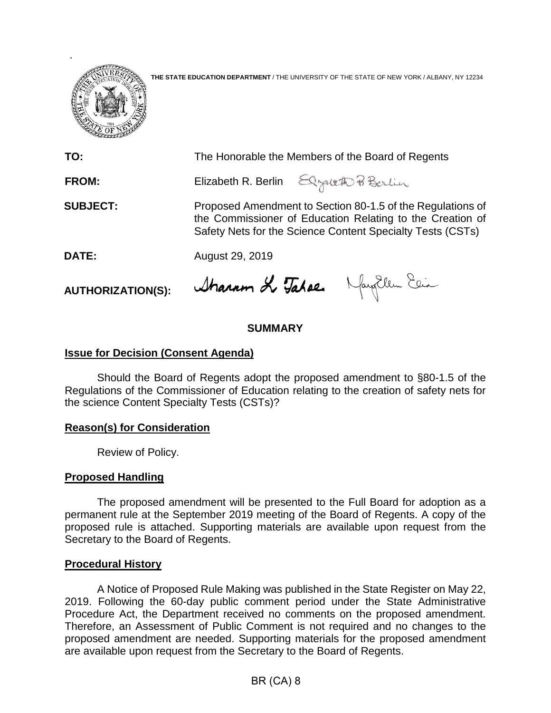

**THE STATE EDUCATION DEPARTMENT** / THE UNIVERSITY OF THE STATE OF NEW YORK / ALBANY, NY 12234

| TO:             | The Honorable the Members of the Board of Regents                                                                                                                                     |
|-----------------|---------------------------------------------------------------------------------------------------------------------------------------------------------------------------------------|
| <b>FROM:</b>    | Elizabeth R. Berlin Elgaleth Pi Berlin                                                                                                                                                |
| <b>SUBJECT:</b> | Proposed Amendment to Section 80-1.5 of the Regulations of<br>the Commissioner of Education Relating to the Creation of<br>Safety Nets for the Science Content Specialty Tests (CSTs) |
| DATE:           | August 29, 2019                                                                                                                                                                       |
|                 | $U$ $\mathbf{r}_{1}$ , $\mathbf{r}_{2}$ , $\mathbf{r}_{3}$ , $\mathbf{r}_{2}$                                                                                                         |

**AUTHORIZATION(S):**

Dharron di Jahae.

# **SUMMARY**

### **Issue for Decision (Consent Agenda)**

Should the Board of Regents adopt the proposed amendment to §80-1.5 of the Regulations of the Commissioner of Education relating to the creation of safety nets for the science Content Specialty Tests (CSTs)?

## **Reason(s) for Consideration**

Review of Policy.

### **Proposed Handling**

The proposed amendment will be presented to the Full Board for adoption as a permanent rule at the September 2019 meeting of the Board of Regents. A copy of the proposed rule is attached. Supporting materials are available upon request from the Secretary to the Board of Regents.

### **Procedural History**

A Notice of Proposed Rule Making was published in the State Register on May 22, 2019. Following the 60-day public comment period under the State Administrative Procedure Act, the Department received no comments on the proposed amendment. Therefore, an Assessment of Public Comment is not required and no changes to the proposed amendment are needed. Supporting materials for the proposed amendment are available upon request from the Secretary to the Board of Regents.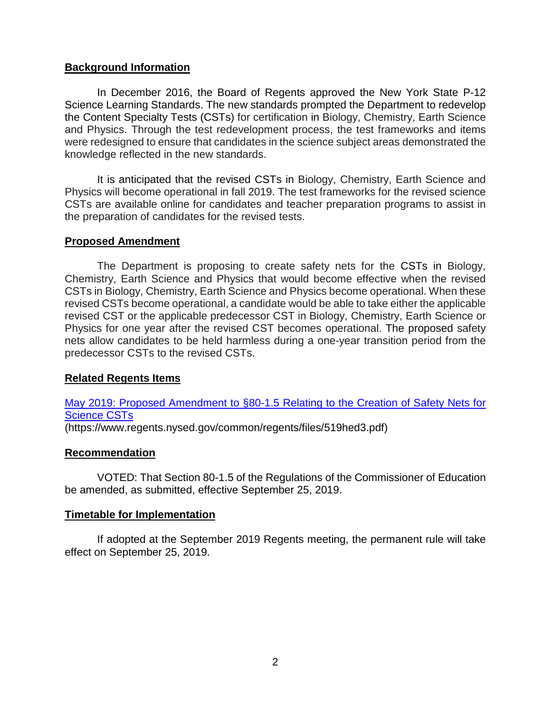### **Background Information**

In December 2016, the Board of Regents approved the New York State P-12 Science Learning Standards. The new standards prompted the Department to redevelop the Content Specialty Tests (CSTs) for certification in Biology, Chemistry, Earth Science and Physics. Through the test redevelopment process, the test frameworks and items were redesigned to ensure that candidates in the science subject areas demonstrated the knowledge reflected in the new standards.

It is anticipated that the revised CSTs in Biology, Chemistry, Earth Science and Physics will become operational in fall 2019. The test frameworks for the revised science CSTs are available online for candidates and teacher preparation programs to assist in the preparation of candidates for the revised tests.

### **Proposed Amendment**

The Department is proposing to create safety nets for the CSTs in Biology, Chemistry, Earth Science and Physics that would become effective when the revised CSTs in Biology, Chemistry, Earth Science and Physics become operational. When these revised CSTs become operational, a candidate would be able to take either the applicable revised CST or the applicable predecessor CST in Biology, Chemistry, Earth Science or Physics for one year after the revised CST becomes operational. The proposed safety nets allow candidates to be held harmless during a one-year transition period from the predecessor CSTs to the revised CSTs.

### **Related Regents Items**

[May 2019: Proposed Amendment to §80-1.5 Relating to the Creation of Safety Nets for](https://www.regents.nysed.gov/common/regents/files/519hed3.pdf)  [Science CSTs](https://www.regents.nysed.gov/common/regents/files/519hed3.pdf) (https://www.regents.nysed.gov/common/regents/files/519hed3.pdf)

### **Recommendation**

VOTED: That Section 80-1.5 of the Regulations of the Commissioner of Education be amended, as submitted, effective September 25, 2019.

### **Timetable for Implementation**

If adopted at the September 2019 Regents meeting, the permanent rule will take effect on September 25, 2019.